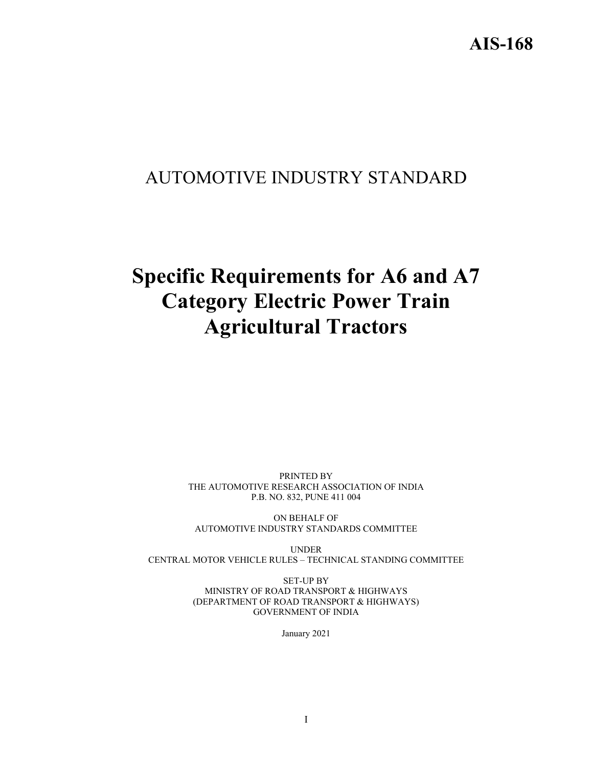# AUTOMOTIVE INDUSTRY STANDARD

# **Specific Requirements for A6 and A7 Category Electric Power Train Agricultural Tractors**

PRINTED BY THE AUTOMOTIVE RESEARCH ASSOCIATION OF INDIA P.B. NO. 832, PUNE 411 004

ON BEHALF OF AUTOMOTIVE INDUSTRY STANDARDS COMMITTEE

UNDER CENTRAL MOTOR VEHICLE RULES – TECHNICAL STANDING COMMITTEE

> SET-UP BY MINISTRY OF ROAD TRANSPORT & HIGHWAYS (DEPARTMENT OF ROAD TRANSPORT & HIGHWAYS) GOVERNMENT OF INDIA

> > January 2021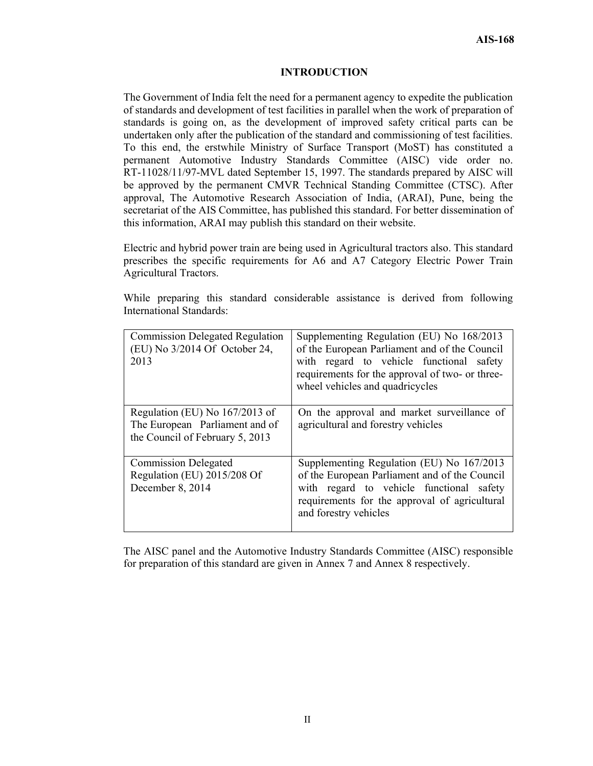#### **INTRODUCTION**

The Government of India felt the need for a permanent agency to expedite the publication of standards and development of test facilities in parallel when the work of preparation of standards is going on, as the development of improved safety critical parts can be undertaken only after the publication of the standard and commissioning of test facilities. To this end, the erstwhile Ministry of Surface Transport (MoST) has constituted a permanent Automotive Industry Standards Committee (AISC) vide order no. RT-11028/11/97-MVL dated September 15, 1997. The standards prepared by AISC will be approved by the permanent CMVR Technical Standing Committee (CTSC). After approval, The Automotive Research Association of India, (ARAI), Pune, being the secretariat of the AIS Committee, has published this standard. For better dissemination of this information, ARAI may publish this standard on their website.

Electric and hybrid power train are being used in Agricultural tractors also. This standard prescribes the specific requirements for A6 and A7 Category Electric Power Train Agricultural Tractors.

While preparing this standard considerable assistance is derived from following International Standards:

| <b>Commission Delegated Regulation</b><br>(EU) No 3/2014 Of October 24,<br>2013                     | Supplementing Regulation (EU) No 168/2013<br>of the European Parliament and of the Council<br>with regard to vehicle functional safety<br>requirements for the approval of two- or three-<br>wheel vehicles and quadricycles |
|-----------------------------------------------------------------------------------------------------|------------------------------------------------------------------------------------------------------------------------------------------------------------------------------------------------------------------------------|
| Regulation (EU) No 167/2013 of<br>The European Parliament and of<br>the Council of February 5, 2013 | On the approval and market surveillance of<br>agricultural and forestry vehicles                                                                                                                                             |
| <b>Commission Delegated</b><br>Regulation (EU) 2015/208 Of<br>December 8, 2014                      | Supplementing Regulation (EU) No 167/2013<br>of the European Parliament and of the Council<br>with regard to vehicle functional safety<br>requirements for the approval of agricultural<br>and forestry vehicles             |

The AISC panel and the Automotive Industry Standards Committee (AISC) responsible for preparation of this standard are given in Annex 7 and Annex 8 respectively.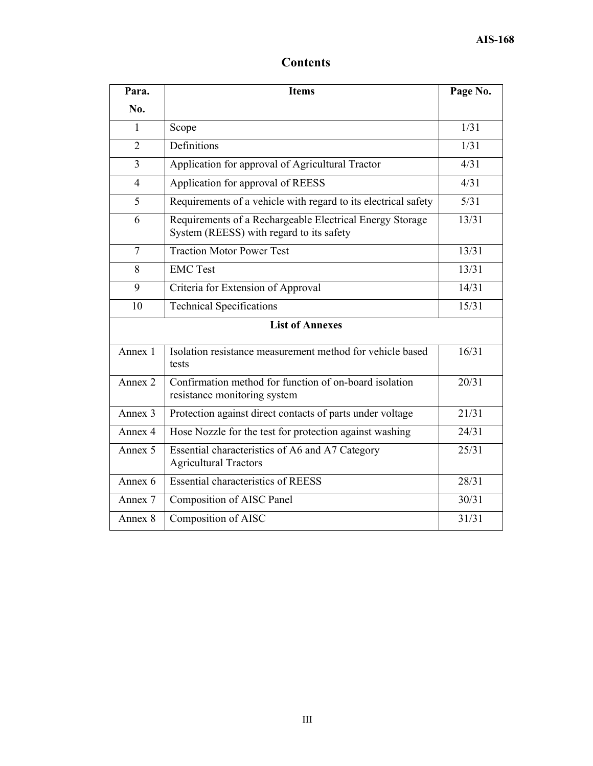## **Contents**

| Para.                  | <b>Items</b>                                                                                         | Page No. |
|------------------------|------------------------------------------------------------------------------------------------------|----------|
| No.                    |                                                                                                      |          |
| 1                      | Scope                                                                                                | 1/31     |
| $\overline{2}$         | Definitions                                                                                          | 1/31     |
| 3                      | Application for approval of Agricultural Tractor                                                     | 4/31     |
| $\overline{4}$         | Application for approval of REESS                                                                    | 4/31     |
| 5                      | Requirements of a vehicle with regard to its electrical safety                                       | 5/31     |
| 6                      | Requirements of a Rechargeable Electrical Energy Storage<br>System (REESS) with regard to its safety | 13/31    |
| $\overline{7}$         | <b>Traction Motor Power Test</b>                                                                     | 13/31    |
| 8                      | <b>EMC</b> Test                                                                                      | 13/31    |
| 9                      | Criteria for Extension of Approval                                                                   | 14/31    |
| 10                     | <b>Technical Specifications</b>                                                                      | 15/31    |
| <b>List of Annexes</b> |                                                                                                      |          |
| Annex 1                | Isolation resistance measurement method for vehicle based<br>tests                                   | 16/31    |
| Annex 2                | Confirmation method for function of on-board isolation<br>resistance monitoring system               | 20/31    |
| Annex 3                | Protection against direct contacts of parts under voltage                                            | 21/31    |
| Annex 4                | Hose Nozzle for the test for protection against washing                                              | 24/31    |
| Annex 5                | Essential characteristics of A6 and A7 Category<br><b>Agricultural Tractors</b>                      | 25/31    |
| Annex 6                | <b>Essential characteristics of REESS</b>                                                            | 28/31    |
| Annex 7                | Composition of AISC Panel                                                                            | 30/31    |
| Annex 8                | Composition of AISC                                                                                  | 31/31    |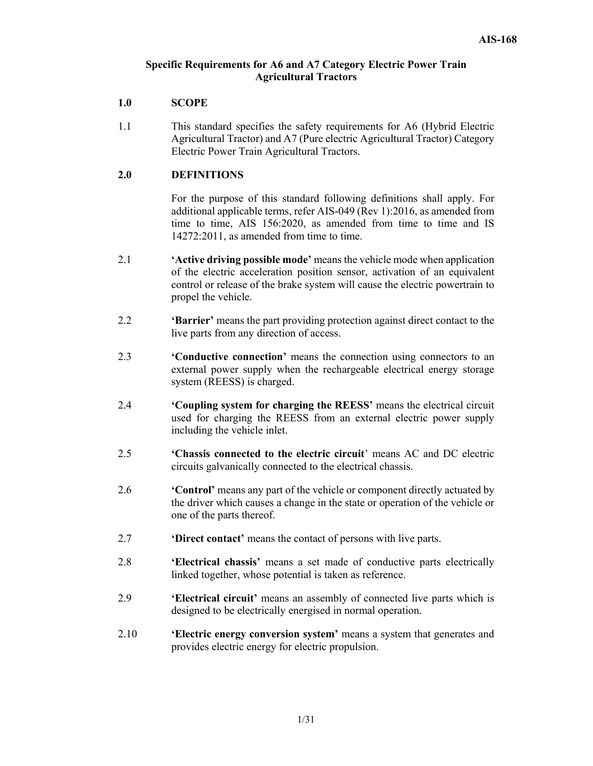#### **Specific Requirements for A6 and A7 Category Electric Power Train Agricultural Tractors**

#### **1.0 SCOPE**

1.1 This standard specifies the safety requirements for A6 (Hybrid Electric Agricultural Tractor) and A7 (Pure electric Agricultural Tractor) Category Electric Power Train Agricultural Tractors.

#### **2.0 DEFINITIONS**

For the purpose of this standard following definitions shall apply. For additional applicable terms, refer AIS-049 (Rev 1):2016, as amended from time to time, AIS 156:2020, as amended from time to time and IS 14272:2011, as amended from time to time.

- 2.1 **'Active driving possible mode'** means the vehicle mode when application of the electric acceleration position sensor, activation of an equivalent control or release of the brake system will cause the electric powertrain to propel the vehicle.
- 2.2 **'Barrier'** means the part providing protection against direct contact to the live parts from any direction of access.
- 2.3 **'Conductive connection'** means the connection using connectors to an external power supply when the rechargeable electrical energy storage system (REESS) is charged.
- 2.4 **'Coupling system for charging the REESS'** means the electrical circuit used for charging the REESS from an external electric power supply including the vehicle inlet.
- 2.5 **'Chassis connected to the electric circuit**' means AC and DC electric circuits galvanically connected to the electrical chassis.
- 2.6 **'Control'** means any part of the vehicle or component directly actuated by the driver which causes a change in the state or operation of the vehicle or one of the parts thereof.
- 2.7 **'Direct contact'** means the contact of persons with live parts.
- 2.8 **'Electrical chassis'** means a set made of conductive parts electrically linked together, whose potential is taken as reference.
- 2.9 **'Electrical circuit'** means an assembly of connected live parts which is designed to be electrically energised in normal operation.
- 2.10 **'Electric energy conversion system'** means a system that generates and provides electric energy for electric propulsion.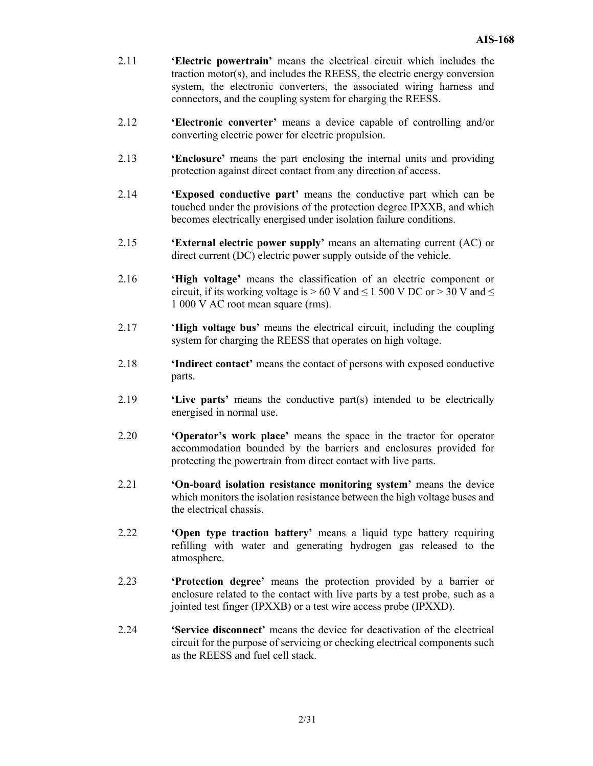- 2.11 **'Electric powertrain'** means the electrical circuit which includes the traction motor(s), and includes the REESS, the electric energy conversion system, the electronic converters, the associated wiring harness and connectors, and the coupling system for charging the REESS.
- 2.12 **'Electronic converter'** means a device capable of controlling and/or converting electric power for electric propulsion.
- 2.13 **'Enclosure'** means the part enclosing the internal units and providing protection against direct contact from any direction of access.
- 2.14 **'Exposed conductive part'** means the conductive part which can be touched under the provisions of the protection degree IPXXB, and which becomes electrically energised under isolation failure conditions.
- 2.15 **'External electric power supply'** means an alternating current (AC) or direct current (DC) electric power supply outside of the vehicle.
- 2.16 **'High voltage'** means the classification of an electric component or circuit, if its working voltage is  $> 60$  V and  $\leq 1500$  V DC or  $> 30$  V and  $\leq$ 1 000 V AC root mean square (rms).
- 2.17 '**High voltage bus'** means the electrical circuit, including the coupling system for charging the REESS that operates on high voltage.
- 2.18 **'Indirect contact'** means the contact of persons with exposed conductive parts.
- 2.19 **'Live parts'** means the conductive part(s) intended to be electrically energised in normal use.
- 2.20 **'Operator's work place'** means the space in the tractor for operator accommodation bounded by the barriers and enclosures provided for protecting the powertrain from direct contact with live parts.
- 2.21 **'On-board isolation resistance monitoring system'** means the device which monitors the isolation resistance between the high voltage buses and the electrical chassis.
- 2.22 **'Open type traction battery'** means a liquid type battery requiring refilling with water and generating hydrogen gas released to the atmosphere.
- 2.23 **'Protection degree'** means the protection provided by a barrier or enclosure related to the contact with live parts by a test probe, such as a jointed test finger (IPXXB) or a test wire access probe (IPXXD).
- 2.24 **'Service disconnect'** means the device for deactivation of the electrical circuit for the purpose of servicing or checking electrical components such as the REESS and fuel cell stack.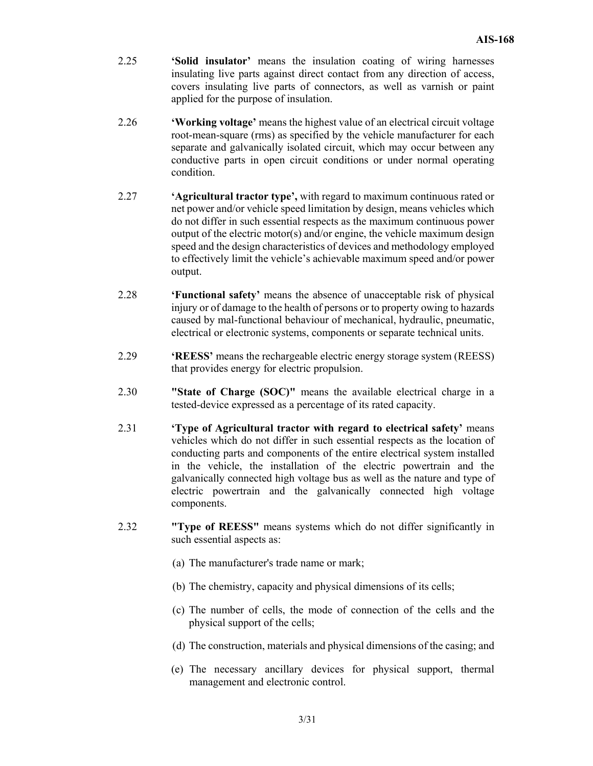- 2.25 **'Solid insulator'** means the insulation coating of wiring harnesses insulating live parts against direct contact from any direction of access, covers insulating live parts of connectors, as well as varnish or paint applied for the purpose of insulation.
- 2.26 **'Working voltage'** means the highest value of an electrical circuit voltage root-mean-square (rms) as specified by the vehicle manufacturer for each separate and galvanically isolated circuit, which may occur between any conductive parts in open circuit conditions or under normal operating condition.
- 2.27 **'Agricultural tractor type',** with regard to maximum continuous rated or net power and/or vehicle speed limitation by design, means vehicles which do not differ in such essential respects as the maximum continuous power output of the electric motor(s) and/or engine, the vehicle maximum design speed and the design characteristics of devices and methodology employed to effectively limit the vehicle's achievable maximum speed and/or power output.
- 2.28 **'Functional safety'** means the absence of unacceptable risk of physical injury or of damage to the health of persons or to property owing to hazards caused by mal-functional behaviour of mechanical, hydraulic, pneumatic, electrical or electronic systems, components or separate technical units.
- 2.29 **'REESS'** means the rechargeable electric energy storage system (REESS) that provides energy for electric propulsion.
- 2.30 **"State of Charge (SOC)"** means the available electrical charge in a tested-device expressed as a percentage of its rated capacity.
- 2.31 **'Type of Agricultural tractor with regard to electrical safety'** means vehicles which do not differ in such essential respects as the location of conducting parts and components of the entire electrical system installed in the vehicle, the installation of the electric powertrain and the galvanically connected high voltage bus as well as the nature and type of electric powertrain and the galvanically connected high voltage components.
- 2.32 **"Type of REESS"** means systems which do not differ significantly in such essential aspects as:
	- (a) The manufacturer's trade name or mark;
	- (b) The chemistry, capacity and physical dimensions of its cells;
	- (c) The number of cells, the mode of connection of the cells and the physical support of the cells;
	- (d) The construction, materials and physical dimensions of the casing; and
	- (e) The necessary ancillary devices for physical support, thermal management and electronic control.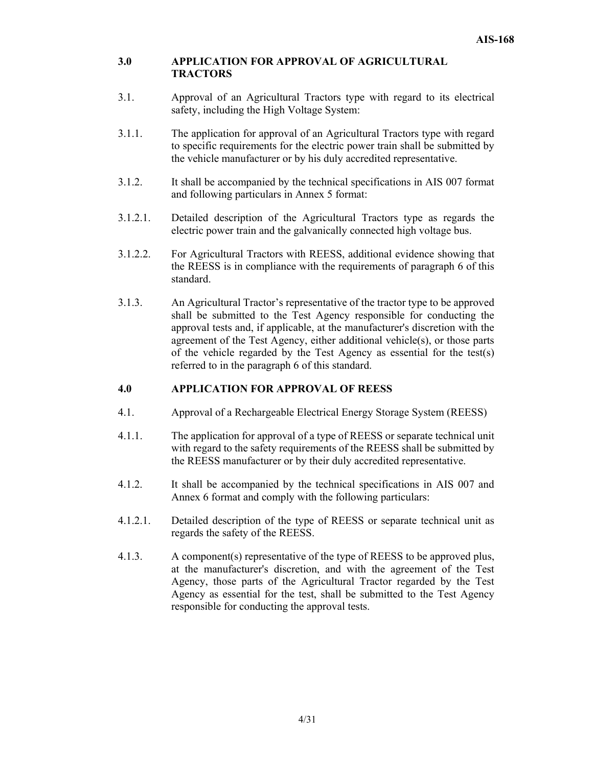#### **3.0 APPLICATION FOR APPROVAL OF AGRICULTURAL TRACTORS**

- 3.1. Approval of an Agricultural Tractors type with regard to its electrical safety, including the High Voltage System:
- 3.1.1. The application for approval of an Agricultural Tractors type with regard to specific requirements for the electric power train shall be submitted by the vehicle manufacturer or by his duly accredited representative.
- 3.1.2. It shall be accompanied by the technical specifications in AIS 007 format and following particulars in Annex 5 format:
- 3.1.2.1. Detailed description of the Agricultural Tractors type as regards the electric power train and the galvanically connected high voltage bus.
- 3.1.2.2. For Agricultural Tractors with REESS, additional evidence showing that the REESS is in compliance with the requirements of paragraph 6 of this standard.
- 3.1.3. An Agricultural Tractor's representative of the tractor type to be approved shall be submitted to the Test Agency responsible for conducting the approval tests and, if applicable, at the manufacturer's discretion with the agreement of the Test Agency, either additional vehicle(s), or those parts of the vehicle regarded by the Test Agency as essential for the test(s) referred to in the paragraph 6 of this standard.

#### **4.0 APPLICATION FOR APPROVAL OF REESS**

- 4.1. Approval of a Rechargeable Electrical Energy Storage System (REESS)
- 4.1.1. The application for approval of a type of REESS or separate technical unit with regard to the safety requirements of the REESS shall be submitted by the REESS manufacturer or by their duly accredited representative.
- 4.1.2. It shall be accompanied by the technical specifications in AIS 007 and Annex 6 format and comply with the following particulars:
- 4.1.2.1. Detailed description of the type of REESS or separate technical unit as regards the safety of the REESS.
- 4.1.3. A component(s) representative of the type of REESS to be approved plus, at the manufacturer's discretion, and with the agreement of the Test Agency, those parts of the Agricultural Tractor regarded by the Test Agency as essential for the test, shall be submitted to the Test Agency responsible for conducting the approval tests.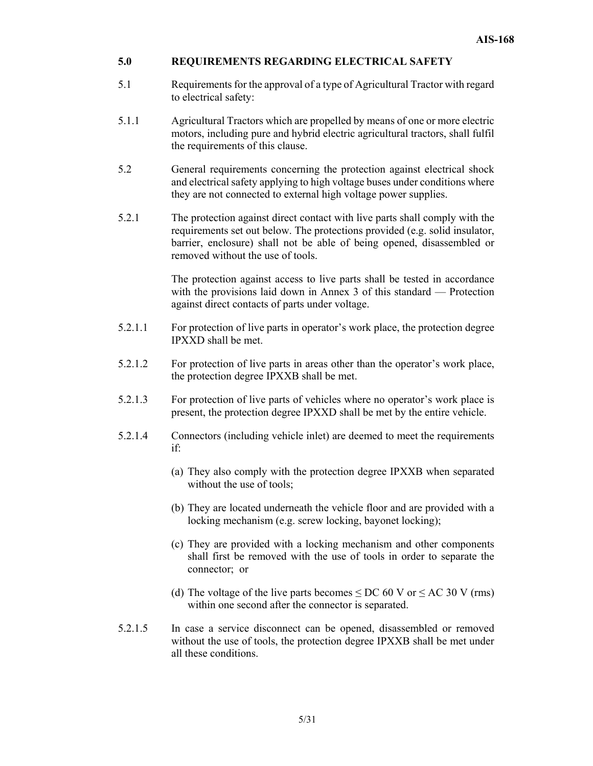#### **5.0 REQUIREMENTS REGARDING ELECTRICAL SAFETY**

- 5.1 Requirements for the approval of a type of Agricultural Tractor with regard to electrical safety:
- 5.1.1 Agricultural Tractors which are propelled by means of one or more electric motors, including pure and hybrid electric agricultural tractors, shall fulfil the requirements of this clause.
- 5.2 General requirements concerning the protection against electrical shock and electrical safety applying to high voltage buses under conditions where they are not connected to external high voltage power supplies.
- 5.2.1 The protection against direct contact with live parts shall comply with the requirements set out below. The protections provided (e.g. solid insulator, barrier, enclosure) shall not be able of being opened, disassembled or removed without the use of tools.

The protection against access to live parts shall be tested in accordance with the provisions laid down in Annex 3 of this standard — Protection against direct contacts of parts under voltage.

- 5.2.1.1 For protection of live parts in operator's work place, the protection degree IPXXD shall be met.
- 5.2.1.2 For protection of live parts in areas other than the operator's work place, the protection degree IPXXB shall be met.
- 5.2.1.3 For protection of live parts of vehicles where no operator's work place is present, the protection degree IPXXD shall be met by the entire vehicle.
- 5.2.1.4 Connectors (including vehicle inlet) are deemed to meet the requirements if:
	- (a) They also comply with the protection degree IPXXB when separated without the use of tools;
	- (b) They are located underneath the vehicle floor and are provided with a locking mechanism (e.g. screw locking, bayonet locking);
	- (c) They are provided with a locking mechanism and other components shall first be removed with the use of tools in order to separate the connector; or
	- (d) The voltage of the live parts becomes  $\leq$  DC 60 V or  $\leq$  AC 30 V (rms) within one second after the connector is separated.
- 5.2.1.5 In case a service disconnect can be opened, disassembled or removed without the use of tools, the protection degree IPXXB shall be met under all these conditions.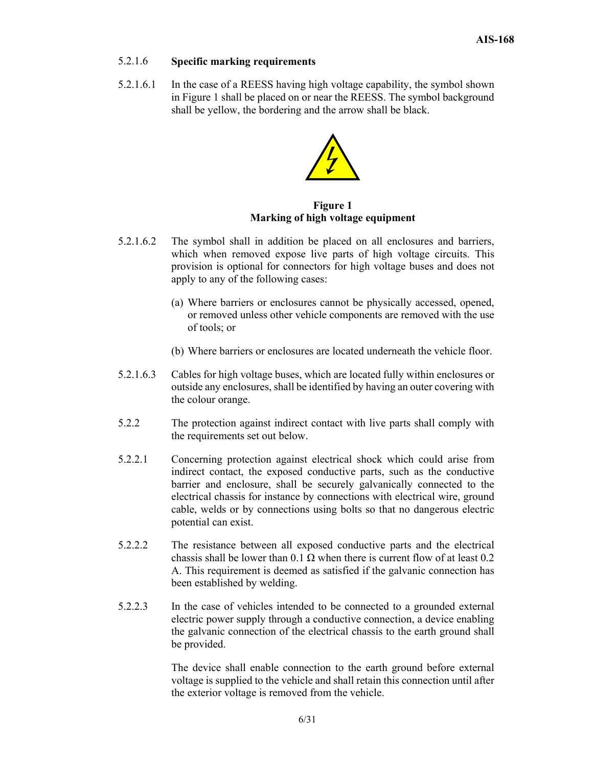## 5.2.1.6 **Specific marking requirements**

5.2.1.6.1 In the case of a REESS having high voltage capability, the symbol shown in Figure 1 shall be placed on or near the REESS. The symbol background shall be yellow, the bordering and the arrow shall be black.



**Figure 1 Marking of high voltage equipment** 

- 5.2.1.6.2 The symbol shall in addition be placed on all enclosures and barriers, which when removed expose live parts of high voltage circuits. This provision is optional for connectors for high voltage buses and does not apply to any of the following cases:
	- (a) Where barriers or enclosures cannot be physically accessed, opened, or removed unless other vehicle components are removed with the use of tools; or
	- (b) Where barriers or enclosures are located underneath the vehicle floor.
- 5.2.1.6.3 Cables for high voltage buses, which are located fully within enclosures or outside any enclosures, shall be identified by having an outer covering with the colour orange.
- 5.2.2 The protection against indirect contact with live parts shall comply with the requirements set out below.
- 5.2.2.1 Concerning protection against electrical shock which could arise from indirect contact, the exposed conductive parts, such as the conductive barrier and enclosure, shall be securely galvanically connected to the electrical chassis for instance by connections with electrical wire, ground cable, welds or by connections using bolts so that no dangerous electric potential can exist.
- 5.2.2.2 The resistance between all exposed conductive parts and the electrical chassis shall be lower than  $0.1 \Omega$  when there is current flow of at least 0.2 A. This requirement is deemed as satisfied if the galvanic connection has been established by welding.
- 5.2.2.3 In the case of vehicles intended to be connected to a grounded external electric power supply through a conductive connection, a device enabling the galvanic connection of the electrical chassis to the earth ground shall be provided.

 The device shall enable connection to the earth ground before external voltage is supplied to the vehicle and shall retain this connection until after the exterior voltage is removed from the vehicle.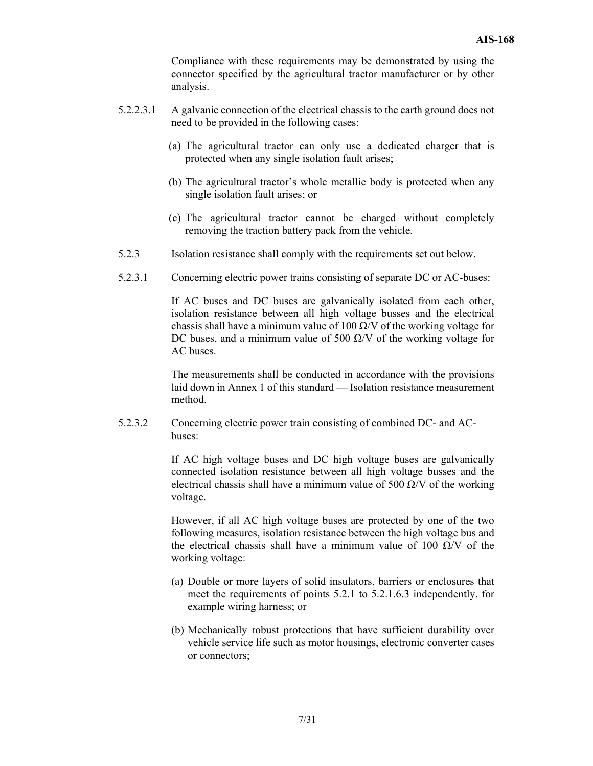Compliance with these requirements may be demonstrated by using the connector specified by the agricultural tractor manufacturer or by other analysis.

- 5.2.2.3.1 A galvanic connection of the electrical chassis to the earth ground does not need to be provided in the following cases:
	- (a) The agricultural tractor can only use a dedicated charger that is protected when any single isolation fault arises;
	- (b) The agricultural tractor's whole metallic body is protected when any single isolation fault arises; or
	- (c) The agricultural tractor cannot be charged without completely removing the traction battery pack from the vehicle.
- 5.2.3 Isolation resistance shall comply with the requirements set out below.
- 5.2.3.1 Concerning electric power trains consisting of separate DC or AC-buses:

 If AC buses and DC buses are galvanically isolated from each other, isolation resistance between all high voltage busses and the electrical chassis shall have a minimum value of 100  $\Omega$ /V of the working voltage for DC buses, and a minimum value of 500  $\Omega$ /V of the working voltage for AC buses.

 The measurements shall be conducted in accordance with the provisions laid down in Annex 1 of this standard — Isolation resistance measurement method.

5.2.3.2 Concerning electric power train consisting of combined DC- and ACbuses:

> If AC high voltage buses and DC high voltage buses are galvanically connected isolation resistance between all high voltage busses and the electrical chassis shall have a minimum value of 500  $\Omega$ /V of the working voltage.

> However, if all AC high voltage buses are protected by one of the two following measures, isolation resistance between the high voltage bus and the electrical chassis shall have a minimum value of 100  $\Omega$ /V of the working voltage:

- (a) Double or more layers of solid insulators, barriers or enclosures that meet the requirements of points 5.2.1 to 5.2.1.6.3 independently, for example wiring harness; or
- (b) Mechanically robust protections that have sufficient durability over vehicle service life such as motor housings, electronic converter cases or connectors;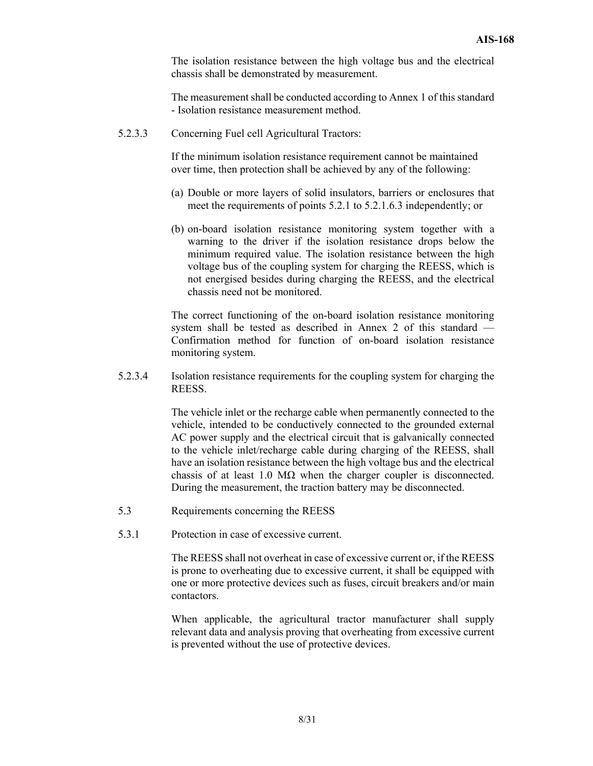The isolation resistance between the high voltage bus and the electrical chassis shall be demonstrated by measurement.

 The measurement shall be conducted according to Annex 1 of this standard - Isolation resistance measurement method.

5.2.3.3 Concerning Fuel cell Agricultural Tractors:

 If the minimum isolation resistance requirement cannot be maintained over time, then protection shall be achieved by any of the following:

- (a) Double or more layers of solid insulators, barriers or enclosures that meet the requirements of points 5.2.1 to 5.2.1.6.3 independently; or
- (b) on-board isolation resistance monitoring system together with a warning to the driver if the isolation resistance drops below the minimum required value. The isolation resistance between the high voltage bus of the coupling system for charging the REESS, which is not energised besides during charging the REESS, and the electrical chassis need not be monitored.

 The correct functioning of the on-board isolation resistance monitoring system shall be tested as described in Annex 2 of this standard — Confirmation method for function of on-board isolation resistance monitoring system.

5.2.3.4 Isolation resistance requirements for the coupling system for charging the REESS.

> The vehicle inlet or the recharge cable when permanently connected to the vehicle, intended to be conductively connected to the grounded external AC power supply and the electrical circuit that is galvanically connected to the vehicle inlet/recharge cable during charging of the REESS, shall have an isolation resistance between the high voltage bus and the electrical chassis of at least 1.0 M $\Omega$  when the charger coupler is disconnected. During the measurement, the traction battery may be disconnected.

- 5.3 Requirements concerning the REESS
- 5.3.1 Protection in case of excessive current.

The REESS shall not overheat in case of excessive current or, if the REESS is prone to overheating due to excessive current, it shall be equipped with one or more protective devices such as fuses, circuit breakers and/or main contactors.

When applicable, the agricultural tractor manufacturer shall supply relevant data and analysis proving that overheating from excessive current is prevented without the use of protective devices.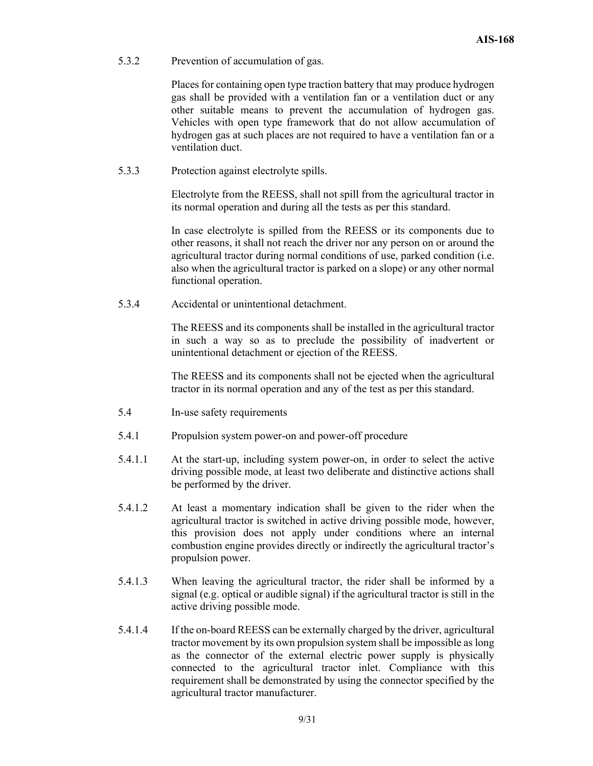5.3.2 Prevention of accumulation of gas.

Places for containing open type traction battery that may produce hydrogen gas shall be provided with a ventilation fan or a ventilation duct or any other suitable means to prevent the accumulation of hydrogen gas. Vehicles with open type framework that do not allow accumulation of hydrogen gas at such places are not required to have a ventilation fan or a ventilation duct.

5.3.3 Protection against electrolyte spills.

Electrolyte from the REESS, shall not spill from the agricultural tractor in its normal operation and during all the tests as per this standard.

In case electrolyte is spilled from the REESS or its components due to other reasons, it shall not reach the driver nor any person on or around the agricultural tractor during normal conditions of use, parked condition (i.e. also when the agricultural tractor is parked on a slope) or any other normal functional operation.

5.3.4 Accidental or unintentional detachment.

The REESS and its components shall be installed in the agricultural tractor in such a way so as to preclude the possibility of inadvertent or unintentional detachment or ejection of the REESS.

The REESS and its components shall not be ejected when the agricultural tractor in its normal operation and any of the test as per this standard.

- 5.4 In-use safety requirements
- 5.4.1 Propulsion system power-on and power-off procedure
- 5.4.1.1 At the start-up, including system power-on, in order to select the active driving possible mode, at least two deliberate and distinctive actions shall be performed by the driver.
- 5.4.1.2 At least a momentary indication shall be given to the rider when the agricultural tractor is switched in active driving possible mode, however, this provision does not apply under conditions where an internal combustion engine provides directly or indirectly the agricultural tractor's propulsion power.
- 5.4.1.3 When leaving the agricultural tractor, the rider shall be informed by a signal (e.g. optical or audible signal) if the agricultural tractor is still in the active driving possible mode.
- 5.4.1.4 If the on-board REESS can be externally charged by the driver, agricultural tractor movement by its own propulsion system shall be impossible as long as the connector of the external electric power supply is physically connected to the agricultural tractor inlet. Compliance with this requirement shall be demonstrated by using the connector specified by the agricultural tractor manufacturer.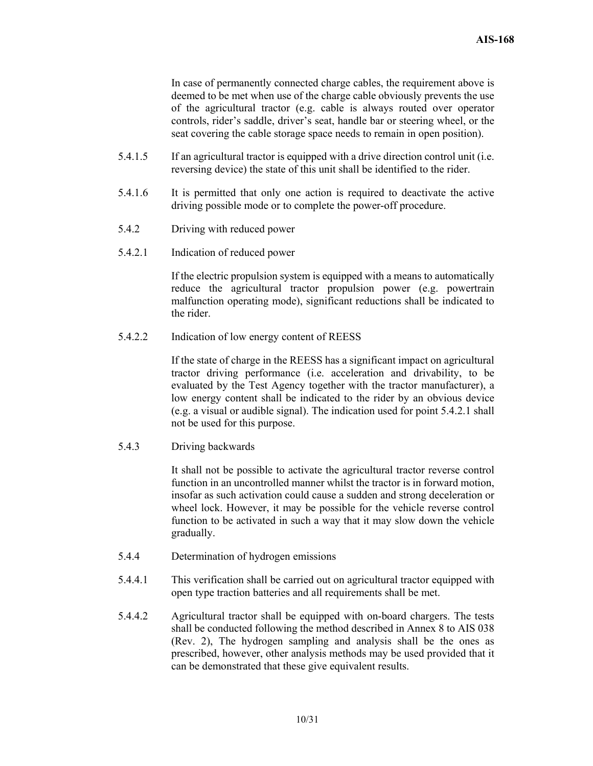In case of permanently connected charge cables, the requirement above is deemed to be met when use of the charge cable obviously prevents the use of the agricultural tractor (e.g. cable is always routed over operator controls, rider's saddle, driver's seat, handle bar or steering wheel, or the seat covering the cable storage space needs to remain in open position).

- 5.4.1.5 If an agricultural tractor is equipped with a drive direction control unit (i.e. reversing device) the state of this unit shall be identified to the rider.
- 5.4.1.6 It is permitted that only one action is required to deactivate the active driving possible mode or to complete the power-off procedure.
- 5.4.2 Driving with reduced power
- 5.4.2.1 Indication of reduced power

 If the electric propulsion system is equipped with a means to automatically reduce the agricultural tractor propulsion power (e.g. powertrain malfunction operating mode), significant reductions shall be indicated to the rider.

5.4.2.2 Indication of low energy content of REESS

If the state of charge in the REESS has a significant impact on agricultural tractor driving performance (i.e. acceleration and drivability, to be evaluated by the Test Agency together with the tractor manufacturer), a low energy content shall be indicated to the rider by an obvious device (e.g. a visual or audible signal). The indication used for point 5.4.2.1 shall not be used for this purpose.

5.4.3 Driving backwards

 It shall not be possible to activate the agricultural tractor reverse control function in an uncontrolled manner whilst the tractor is in forward motion, insofar as such activation could cause a sudden and strong deceleration or wheel lock. However, it may be possible for the vehicle reverse control function to be activated in such a way that it may slow down the vehicle gradually.

- 5.4.4 Determination of hydrogen emissions
- 5.4.4.1 This verification shall be carried out on agricultural tractor equipped with open type traction batteries and all requirements shall be met.
- 5.4.4.2 Agricultural tractor shall be equipped with on-board chargers. The tests shall be conducted following the method described in Annex 8 to AIS 038 (Rev. 2), The hydrogen sampling and analysis shall be the ones as prescribed, however, other analysis methods may be used provided that it can be demonstrated that these give equivalent results.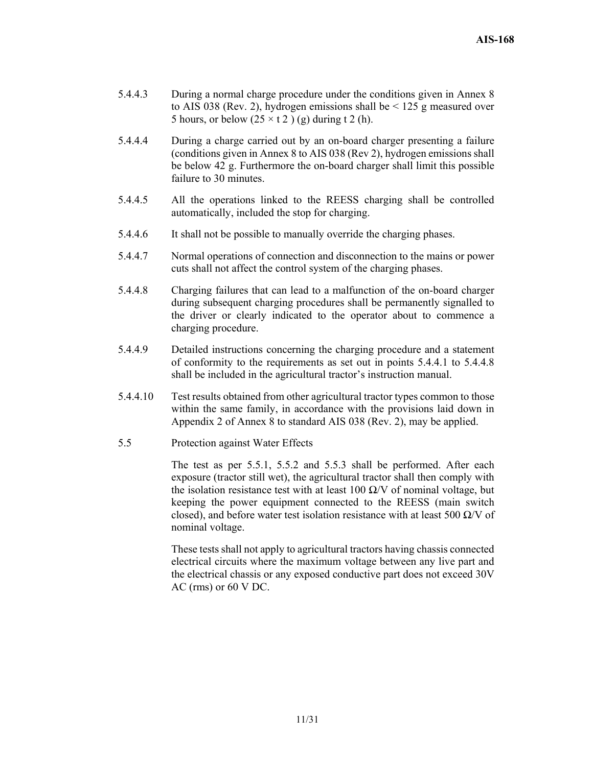- 5.4.4.3 During a normal charge procedure under the conditions given in Annex 8 to AIS 038 (Rev. 2), hydrogen emissions shall be  $\leq$  125 g measured over 5 hours, or below  $(25 \times t)$  (g) during t 2 (h).
- 5.4.4.4 During a charge carried out by an on-board charger presenting a failure (conditions given in Annex 8 to AIS 038 (Rev 2), hydrogen emissions shall be below 42 g. Furthermore the on-board charger shall limit this possible failure to 30 minutes.
- 5.4.4.5 All the operations linked to the REESS charging shall be controlled automatically, included the stop for charging.
- 5.4.4.6 It shall not be possible to manually override the charging phases.
- 5.4.4.7 Normal operations of connection and disconnection to the mains or power cuts shall not affect the control system of the charging phases.
- 5.4.4.8 Charging failures that can lead to a malfunction of the on-board charger during subsequent charging procedures shall be permanently signalled to the driver or clearly indicated to the operator about to commence a charging procedure.
- 5.4.4.9 Detailed instructions concerning the charging procedure and a statement of conformity to the requirements as set out in points 5.4.4.1 to 5.4.4.8 shall be included in the agricultural tractor's instruction manual.
- 5.4.4.10 Test results obtained from other agricultural tractor types common to those within the same family, in accordance with the provisions laid down in Appendix 2 of Annex 8 to standard AIS 038 (Rev. 2), may be applied.
- 5.5 Protection against Water Effects

The test as per 5.5.1, 5.5.2 and 5.5.3 shall be performed. After each exposure (tractor still wet), the agricultural tractor shall then comply with the isolation resistance test with at least 100  $\Omega$ /V of nominal voltage, but keeping the power equipment connected to the REESS (main switch closed), and before water test isolation resistance with at least 500  $\Omega$ /V of nominal voltage.

These tests shall not apply to agricultural tractors having chassis connected electrical circuits where the maximum voltage between any live part and the electrical chassis or any exposed conductive part does not exceed 30V AC (rms) or 60 V DC.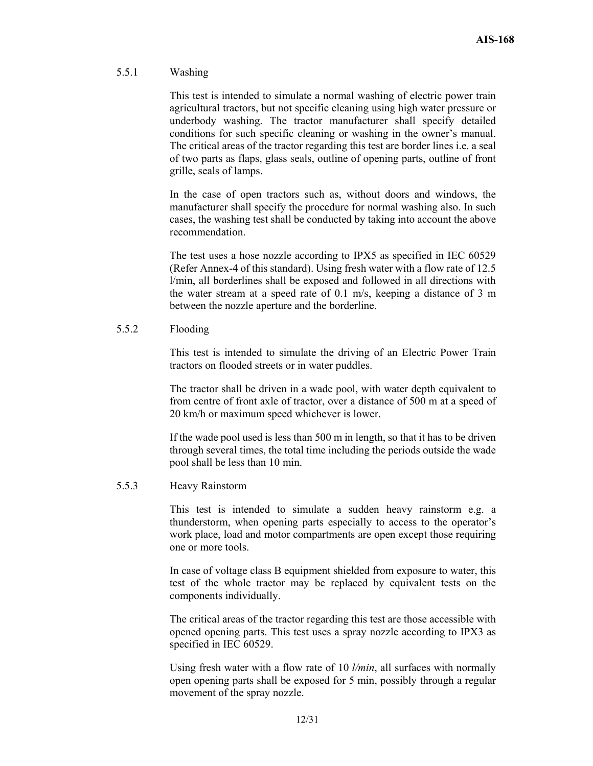#### 5.5.1 Washing

This test is intended to simulate a normal washing of electric power train agricultural tractors, but not specific cleaning using high water pressure or underbody washing. The tractor manufacturer shall specify detailed conditions for such specific cleaning or washing in the owner's manual. The critical areas of the tractor regarding this test are border lines i.e. a seal of two parts as flaps, glass seals, outline of opening parts, outline of front grille, seals of lamps.

In the case of open tractors such as, without doors and windows, the manufacturer shall specify the procedure for normal washing also. In such cases, the washing test shall be conducted by taking into account the above recommendation.

The test uses a hose nozzle according to IPX5 as specified in IEC 60529 (Refer Annex-4 of this standard). Using fresh water with a flow rate of 12.5 l/min, all borderlines shall be exposed and followed in all directions with the water stream at a speed rate of 0.1 m/s, keeping a distance of 3 m between the nozzle aperture and the borderline.

#### 5.5.2 Flooding

 This test is intended to simulate the driving of an Electric Power Train tractors on flooded streets or in water puddles.

The tractor shall be driven in a wade pool, with water depth equivalent to from centre of front axle of tractor, over a distance of 500 m at a speed of 20 km/h or maximum speed whichever is lower.

If the wade pool used is less than 500 m in length, so that it has to be driven through several times, the total time including the periods outside the wade pool shall be less than 10 min.

#### 5.5.3 Heavy Rainstorm

This test is intended to simulate a sudden heavy rainstorm e.g. a thunderstorm, when opening parts especially to access to the operator's work place, load and motor compartments are open except those requiring one or more tools.

In case of voltage class B equipment shielded from exposure to water, this test of the whole tractor may be replaced by equivalent tests on the components individually.

The critical areas of the tractor regarding this test are those accessible with opened opening parts. This test uses a spray nozzle according to IPX3 as specified in IEC 60529.

Using fresh water with a flow rate of 10 *l/min*, all surfaces with normally open opening parts shall be exposed for 5 min, possibly through a regular movement of the spray nozzle.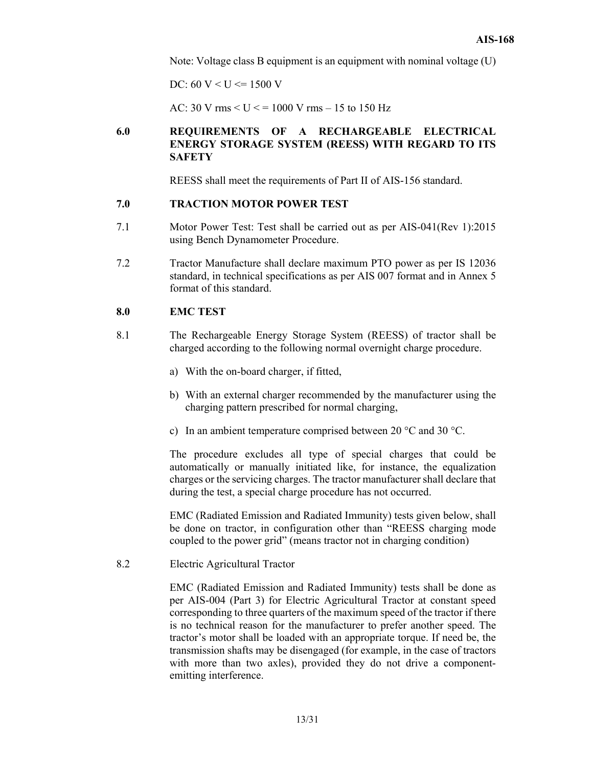Note: Voltage class B equipment is an equipment with nominal voltage (U)

DC:  $60 V < U \le 1500 V$ 

AC: 30 V rms  $< U < 1000$  V rms  $- 15$  to 150 Hz

### **6.0 REQUIREMENTS OF A RECHARGEABLE ELECTRICAL ENERGY STORAGE SYSTEM (REESS) WITH REGARD TO ITS SAFETY**

REESS shall meet the requirements of Part II of AIS-156 standard.

#### **7.0 TRACTION MOTOR POWER TEST**

- 7.1 Motor Power Test: Test shall be carried out as per AIS-041(Rev 1):2015 using Bench Dynamometer Procedure.
- 7.2 Tractor Manufacture shall declare maximum PTO power as per IS 12036 standard, in technical specifications as per AIS 007 format and in Annex 5 format of this standard.

#### **8.0 EMC TEST**

- 8.1 The Rechargeable Energy Storage System (REESS) of tractor shall be charged according to the following normal overnight charge procedure.
	- a) With the on-board charger, if fitted,
	- b) With an external charger recommended by the manufacturer using the charging pattern prescribed for normal charging,
	- c) In an ambient temperature comprised between 20 °C and 30 °C.

The procedure excludes all type of special charges that could be automatically or manually initiated like, for instance, the equalization charges or the servicing charges. The tractor manufacturer shall declare that during the test, a special charge procedure has not occurred.

EMC (Radiated Emission and Radiated Immunity) tests given below, shall be done on tractor, in configuration other than "REESS charging mode coupled to the power grid" (means tractor not in charging condition)

8.2 Electric Agricultural Tractor

EMC (Radiated Emission and Radiated Immunity) tests shall be done as per AIS-004 (Part 3) for Electric Agricultural Tractor at constant speed corresponding to three quarters of the maximum speed of the tractor if there is no technical reason for the manufacturer to prefer another speed. The tractor's motor shall be loaded with an appropriate torque. If need be, the transmission shafts may be disengaged (for example, in the case of tractors with more than two axles), provided they do not drive a componentemitting interference.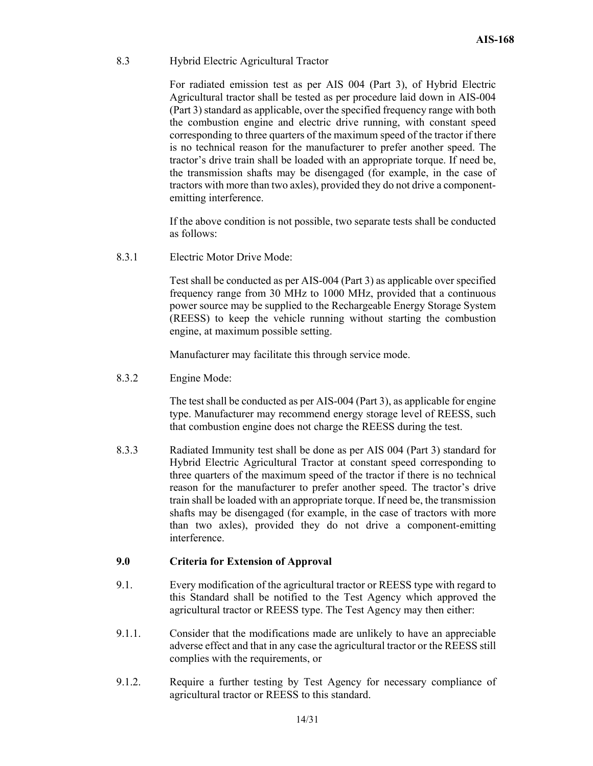#### 8.3 Hybrid Electric Agricultural Tractor

 For radiated emission test as per AIS 004 (Part 3), of Hybrid Electric Agricultural tractor shall be tested as per procedure laid down in AIS-004 (Part 3) standard as applicable, over the specified frequency range with both the combustion engine and electric drive running, with constant speed corresponding to three quarters of the maximum speed of the tractor if there is no technical reason for the manufacturer to prefer another speed. The tractor's drive train shall be loaded with an appropriate torque. If need be, the transmission shafts may be disengaged (for example, in the case of tractors with more than two axles), provided they do not drive a componentemitting interference.

 If the above condition is not possible, two separate tests shall be conducted as follows:

8.3.1 Electric Motor Drive Mode:

Test shall be conducted as per AIS-004 (Part 3) as applicable over specified frequency range from 30 MHz to 1000 MHz, provided that a continuous power source may be supplied to the Rechargeable Energy Storage System (REESS) to keep the vehicle running without starting the combustion engine, at maximum possible setting.

Manufacturer may facilitate this through service mode.

8.3.2 Engine Mode:

 The test shall be conducted as per AIS-004 (Part 3), as applicable for engine type. Manufacturer may recommend energy storage level of REESS, such that combustion engine does not charge the REESS during the test.

8.3.3 Radiated Immunity test shall be done as per AIS 004 (Part 3) standard for Hybrid Electric Agricultural Tractor at constant speed corresponding to three quarters of the maximum speed of the tractor if there is no technical reason for the manufacturer to prefer another speed. The tractor's drive train shall be loaded with an appropriate torque. If need be, the transmission shafts may be disengaged (for example, in the case of tractors with more than two axles), provided they do not drive a component-emitting interference.

#### **9.0 Criteria for Extension of Approval**

- 9.1. Every modification of the agricultural tractor or REESS type with regard to this Standard shall be notified to the Test Agency which approved the agricultural tractor or REESS type. The Test Agency may then either:
- 9.1.1. Consider that the modifications made are unlikely to have an appreciable adverse effect and that in any case the agricultural tractor or the REESS still complies with the requirements, or
- 9.1.2. Require a further testing by Test Agency for necessary compliance of agricultural tractor or REESS to this standard.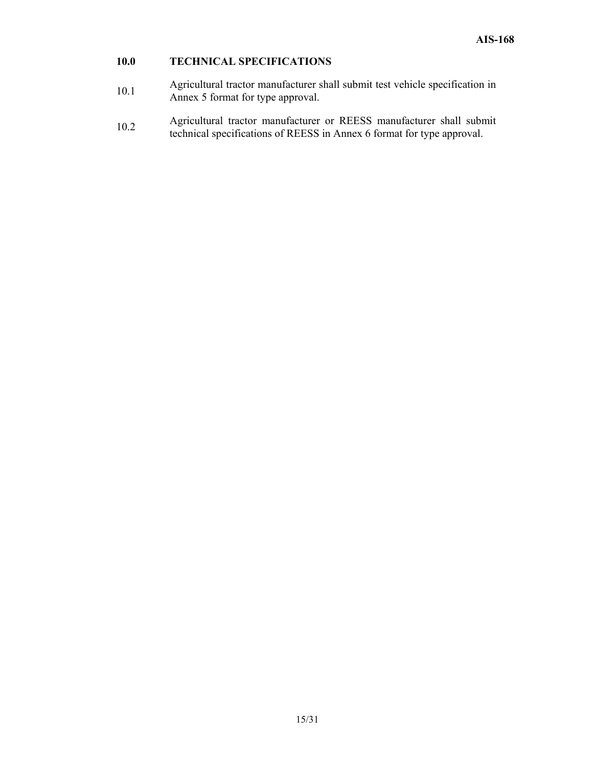## **10.0 TECHNICAL SPECIFICATIONS**

- 10.1 Agricultural tractor manufacturer shall submit test vehicle specification in Annex 5 format for type approval.
- 10.2 Agricultural tractor manufacturer or REESS manufacturer shall submit<br>the bright manufacturer of REESS is Agreed for the compared technical specifications of REESS in Annex 6 format for type approval.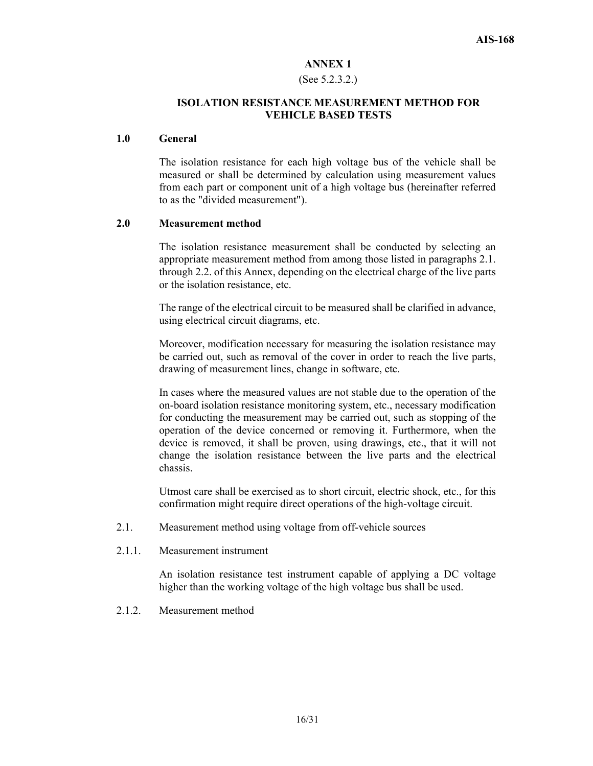#### (See 5.2.3.2.)

#### **ISOLATION RESISTANCE MEASUREMENT METHOD FOR VEHICLE BASED TESTS**

#### **1.0 General**

The isolation resistance for each high voltage bus of the vehicle shall be measured or shall be determined by calculation using measurement values from each part or component unit of a high voltage bus (hereinafter referred to as the "divided measurement").

#### **2.0 Measurement method**

The isolation resistance measurement shall be conducted by selecting an appropriate measurement method from among those listed in paragraphs 2.1. through 2.2. of this Annex, depending on the electrical charge of the live parts or the isolation resistance, etc.

The range of the electrical circuit to be measured shall be clarified in advance, using electrical circuit diagrams, etc.

Moreover, modification necessary for measuring the isolation resistance may be carried out, such as removal of the cover in order to reach the live parts, drawing of measurement lines, change in software, etc.

In cases where the measured values are not stable due to the operation of the on-board isolation resistance monitoring system, etc., necessary modification for conducting the measurement may be carried out, such as stopping of the operation of the device concerned or removing it. Furthermore, when the device is removed, it shall be proven, using drawings, etc., that it will not change the isolation resistance between the live parts and the electrical chassis.

Utmost care shall be exercised as to short circuit, electric shock, etc., for this confirmation might require direct operations of the high-voltage circuit.

- 2.1. Measurement method using voltage from off-vehicle sources
- 2.1.1. Measurement instrument

An isolation resistance test instrument capable of applying a DC voltage higher than the working voltage of the high voltage bus shall be used.

2.1.2. Measurement method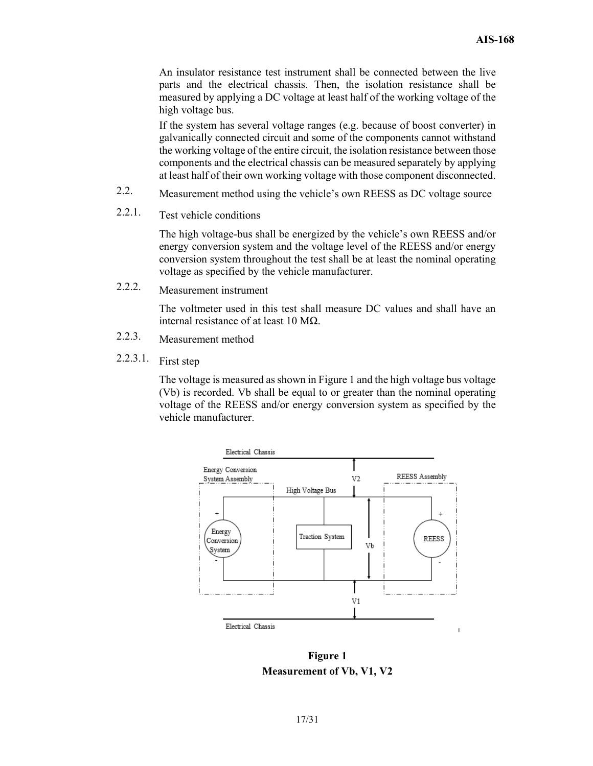An insulator resistance test instrument shall be connected between the live parts and the electrical chassis. Then, the isolation resistance shall be measured by applying a DC voltage at least half of the working voltage of the high voltage bus.

If the system has several voltage ranges (e.g. because of boost converter) in galvanically connected circuit and some of the components cannot withstand the working voltage of the entire circuit, the isolation resistance between those components and the electrical chassis can be measured separately by applying at least half of their own working voltage with those component disconnected.

- 2.2. Measurement method using the vehicle's own REESS as DC voltage source
- 2.2.1. Test vehicle conditions

The high voltage-bus shall be energized by the vehicle's own REESS and/or energy conversion system and the voltage level of the REESS and/or energy conversion system throughout the test shall be at least the nominal operating voltage as specified by the vehicle manufacturer.

2.2.2. Measurement instrument

 The voltmeter used in this test shall measure DC values and shall have an internal resistance of at least 10 MΩ.

- 2.2.3. Measurement method
- 2.2.3.1. First step

The voltage is measured as shown in Figure 1 and the high voltage bus voltage (Vb) is recorded. Vb shall be equal to or greater than the nominal operating voltage of the REESS and/or energy conversion system as specified by the vehicle manufacturer.



**Figure 1 Measurement of Vb, V1, V2**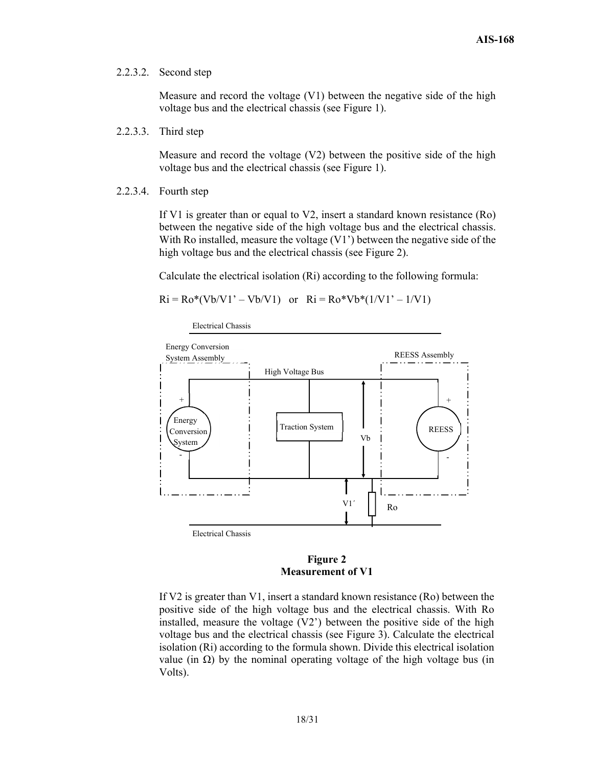#### 2.2.3.2. Second step

Measure and record the voltage (V1) between the negative side of the high voltage bus and the electrical chassis (see Figure 1).

2.2.3.3. Third step

Measure and record the voltage (V2) between the positive side of the high voltage bus and the electrical chassis (see Figure 1).

2.2.3.4. Fourth step

If V1 is greater than or equal to V2, insert a standard known resistance (Ro) between the negative side of the high voltage bus and the electrical chassis. With Ro installed, measure the voltage (V1') between the negative side of the high voltage bus and the electrical chassis (see Figure 2).

Calculate the electrical isolation (Ri) according to the following formula:

 $Ri = Ro*(Vb/V1' - Vb/V1)$  or  $Ri = Ro*Vb*(1/V1' - 1/V1)$ 

Electrical Chassis





If V2 is greater than V1, insert a standard known resistance (Ro) between the positive side of the high voltage bus and the electrical chassis. With Ro installed, measure the voltage (V2') between the positive side of the high voltage bus and the electrical chassis (see Figure 3). Calculate the electrical isolation (Ri) according to the formula shown. Divide this electrical isolation value (in Ω) by the nominal operating voltage of the high voltage bus (in Volts).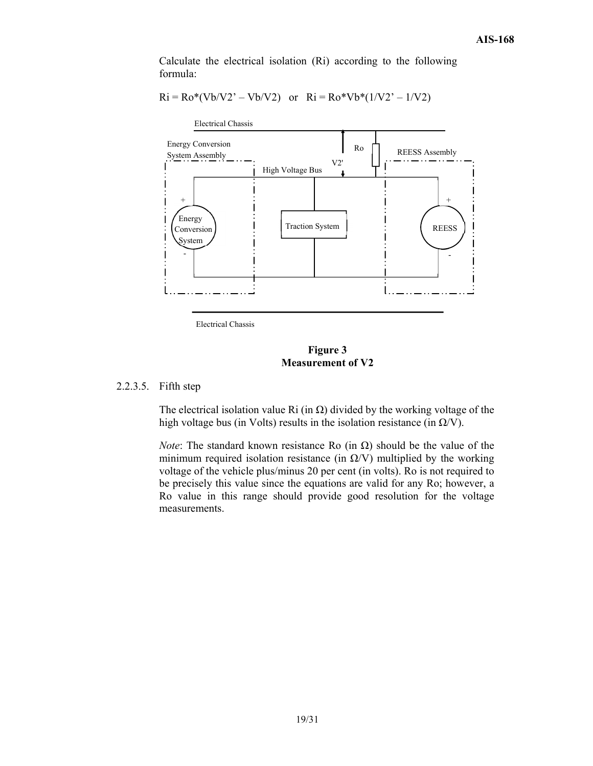Calculate the electrical isolation (Ri) according to the following formula:

$$
Ri = Ro*(Vb/V2' - Vb/V2)
$$
 or  $Ri = Ro*Vb*(1/V2' - 1/V2)$ 



Electrical Chassis

#### **Figure 3 Measurement of V2**

#### 2.2.3.5. Fifth step

The electrical isolation value Ri (in  $\Omega$ ) divided by the working voltage of the high voltage bus (in Volts) results in the isolation resistance (in  $\Omega$ /V).

*Note*: The standard known resistance Ro (in  $\Omega$ ) should be the value of the minimum required isolation resistance (in  $\Omega$ /V) multiplied by the working voltage of the vehicle plus/minus 20 per cent (in volts). Ro is not required to be precisely this value since the equations are valid for any Ro; however, a Ro value in this range should provide good resolution for the voltage measurements.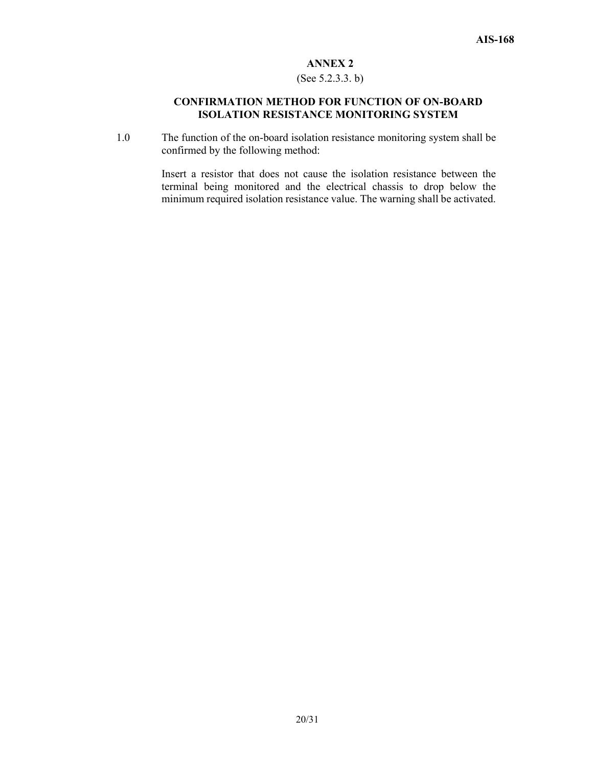#### (See 5.2.3.3. b)

#### **CONFIRMATION METHOD FOR FUNCTION OF ON-BOARD ISOLATION RESISTANCE MONITORING SYSTEM**

1.0 The function of the on-board isolation resistance monitoring system shall be confirmed by the following method:

> Insert a resistor that does not cause the isolation resistance between the terminal being monitored and the electrical chassis to drop below the minimum required isolation resistance value. The warning shall be activated.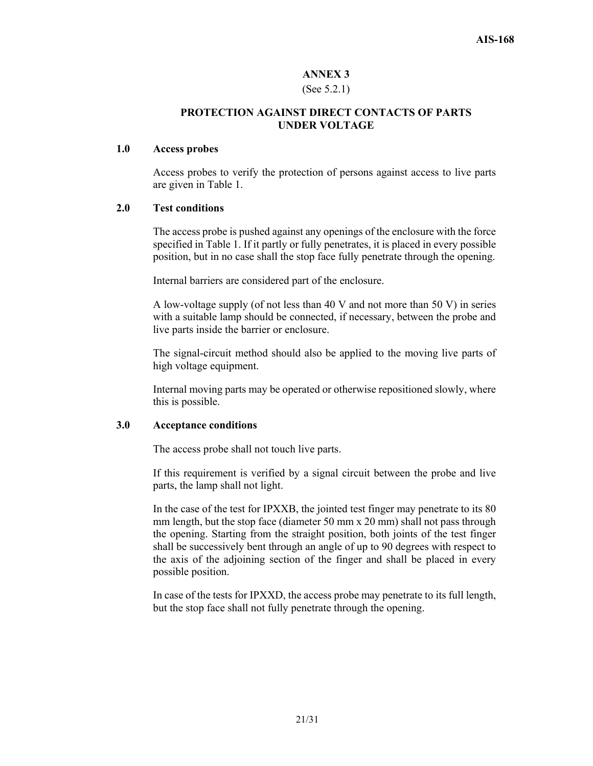#### (See 5.2.1)

## **PROTECTION AGAINST DIRECT CONTACTS OF PARTS UNDER VOLTAGE**

#### **1.0 Access probes**

Access probes to verify the protection of persons against access to live parts are given in Table 1.

#### **2.0 Test conditions**

The access probe is pushed against any openings of the enclosure with the force specified in Table 1. If it partly or fully penetrates, it is placed in every possible position, but in no case shall the stop face fully penetrate through the opening.

Internal barriers are considered part of the enclosure.

A low-voltage supply (of not less than 40 V and not more than 50 V) in series with a suitable lamp should be connected, if necessary, between the probe and live parts inside the barrier or enclosure.

The signal-circuit method should also be applied to the moving live parts of high voltage equipment.

Internal moving parts may be operated or otherwise repositioned slowly, where this is possible.

#### **3.0 Acceptance conditions**

The access probe shall not touch live parts.

If this requirement is verified by a signal circuit between the probe and live parts, the lamp shall not light.

In the case of the test for IPXXB, the jointed test finger may penetrate to its 80 mm length, but the stop face (diameter 50 mm x 20 mm) shall not pass through the opening. Starting from the straight position, both joints of the test finger shall be successively bent through an angle of up to 90 degrees with respect to the axis of the adjoining section of the finger and shall be placed in every possible position.

In case of the tests for IPXXD, the access probe may penetrate to its full length, but the stop face shall not fully penetrate through the opening.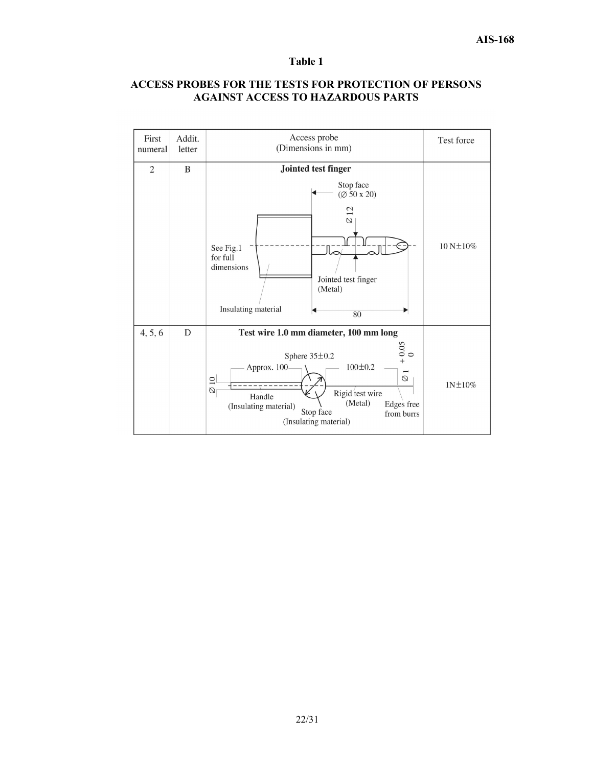#### **Table 1**

#### **ACCESS PROBES FOR THE TESTS FOR PROTECTION OF PERSONS AGAINST ACCESS TO HAZARDOUS PARTS**

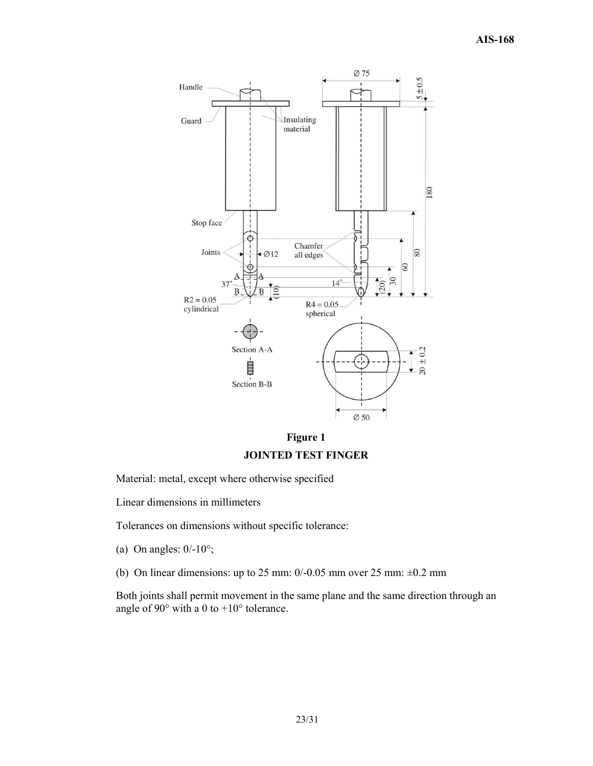



Material: metal, except where otherwise specified

Linear dimensions in millimeters

Tolerances on dimensions without specific tolerance:

(a) On angles:  $0/-10^{\circ}$ ;

(b) On linear dimensions: up to 25 mm:  $0/-0.05$  mm over 25 mm:  $\pm 0.2$  mm

Both joints shall permit movement in the same plane and the same direction through an angle of  $90^\circ$  with a 0 to  $+10^\circ$  tolerance.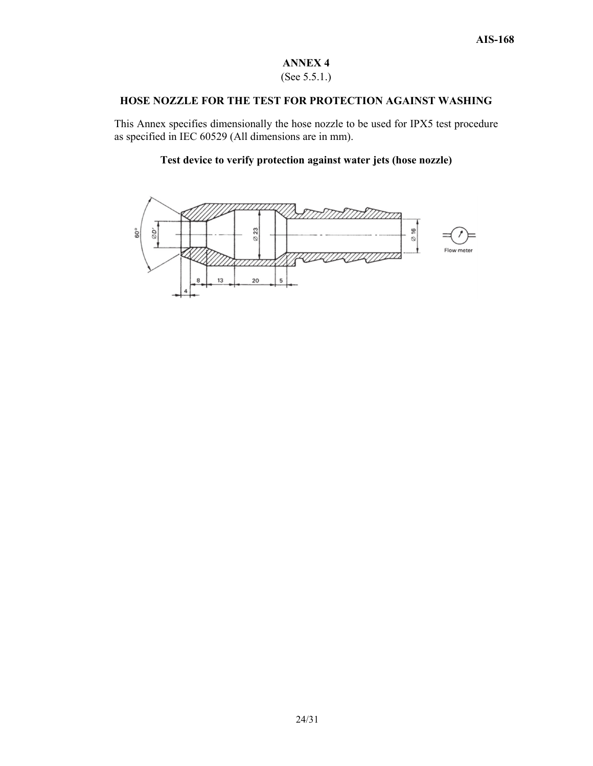## (See 5.5.1.)

#### **HOSE NOZZLE FOR THE TEST FOR PROTECTION AGAINST WASHING**

This Annex specifies dimensionally the hose nozzle to be used for IPX5 test procedure as specified in IEC 60529 (All dimensions are in mm).

## **Test device to verify protection against water jets (hose nozzle)**

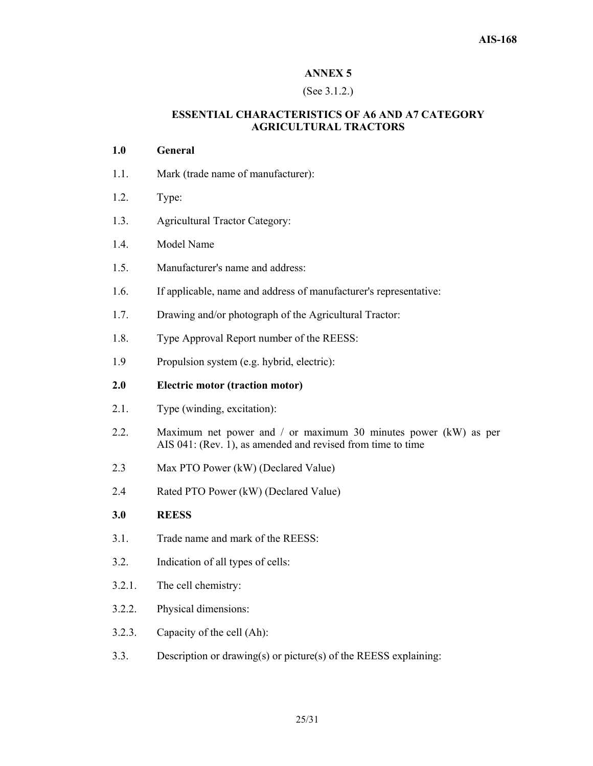#### (See 3.1.2.)

## **ESSENTIAL CHARACTERISTICS OF A6 AND A7 CATEGORY AGRICULTURAL TRACTORS**

## **1.0 General**

- 1.1. Mark (trade name of manufacturer):
- 1.2. Type:
- 1.3. Agricultural Tractor Category:
- 1.4. Model Name
- 1.5. Manufacturer's name and address:
- 1.6. If applicable, name and address of manufacturer's representative:
- 1.7. Drawing and/or photograph of the Agricultural Tractor:
- 1.8. Type Approval Report number of the REESS:
- 1.9 Propulsion system (e.g. hybrid, electric):

## **2.0 Electric motor (traction motor)**

- 2.1. Type (winding, excitation):
- 2.2. Maximum net power and / or maximum 30 minutes power (kW) as per AIS 041: (Rev. 1), as amended and revised from time to time
- 2.3 Max PTO Power (kW) (Declared Value)
- 2.4 Rated PTO Power (kW) (Declared Value)

## **3.0 REESS**

- 3.1. Trade name and mark of the REESS:
- 3.2. Indication of all types of cells:
- 3.2.1. The cell chemistry:
- 3.2.2. Physical dimensions:
- 3.2.3. Capacity of the cell (Ah):
- 3.3. Description or drawing(s) or picture(s) of the REESS explaining: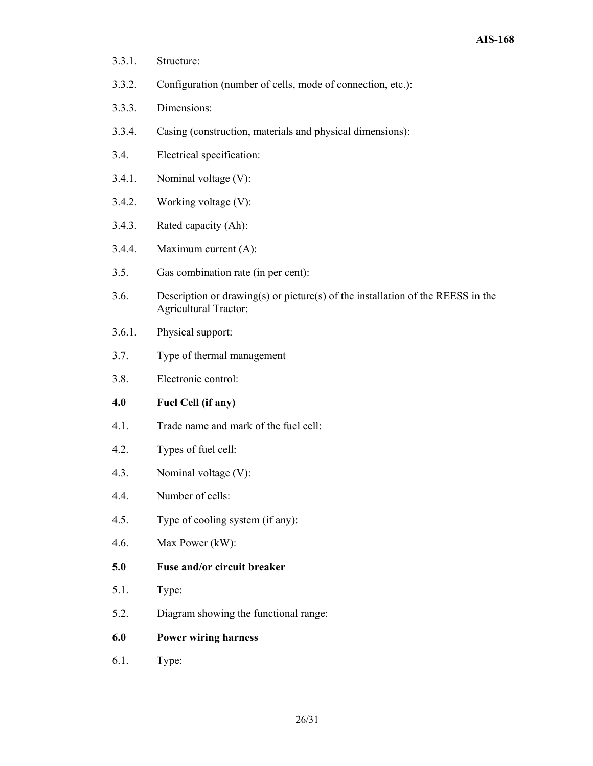- 3.3.1. Structure:
- 3.3.2. Configuration (number of cells, mode of connection, etc.):
- 3.3.3. Dimensions:
- 3.3.4. Casing (construction, materials and physical dimensions):
- 3.4. Electrical specification:
- 3.4.1. Nominal voltage (V):
- 3.4.2. Working voltage (V):
- 3.4.3. Rated capacity (Ah):
- 3.4.4. Maximum current (A):
- 3.5. Gas combination rate (in per cent):
- 3.6. Description or drawing(s) or picture(s) of the installation of the REESS in the Agricultural Tractor:
- 3.6.1. Physical support:
- 3.7. Type of thermal management
- 3.8. Electronic control:

## **4.0 Fuel Cell (if any)**

- 4.1. Trade name and mark of the fuel cell:
- 4.2. Types of fuel cell:
- 4.3. Nominal voltage (V):
- 4.4. Number of cells:
- 4.5. Type of cooling system (if any):
- 4.6. Max Power (kW):
- **5.0 Fuse and/or circuit breaker**
- 5.1. Type:
- 5.2. Diagram showing the functional range:
- **6.0 Power wiring harness**
- 6.1. Type: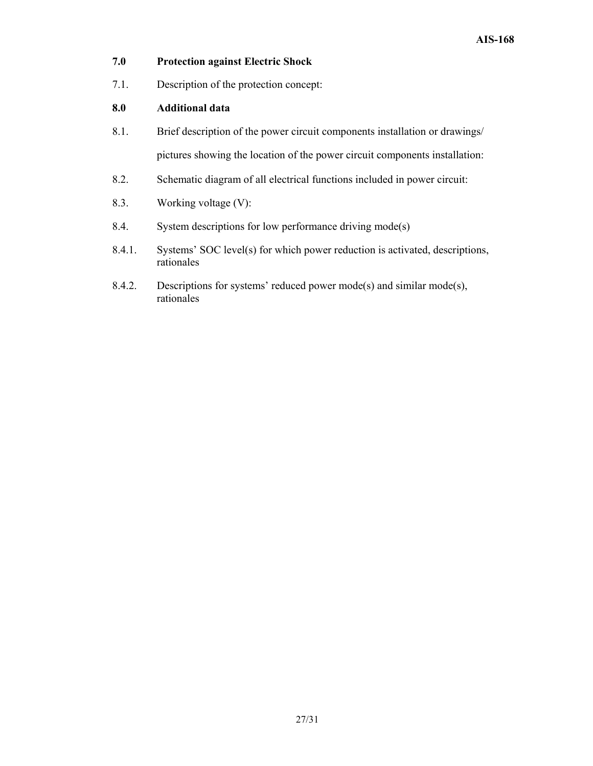## **7.0 Protection against Electric Shock**

7.1. Description of the protection concept:

#### **8.0 Additional data**

- 8.1. Brief description of the power circuit components installation or drawings/ pictures showing the location of the power circuit components installation:
- 8.2. Schematic diagram of all electrical functions included in power circuit:
- 8.3. Working voltage (V):
- 8.4. System descriptions for low performance driving mode(s)
- 8.4.1. Systems' SOC level(s) for which power reduction is activated, descriptions, rationales
- 8.4.2. Descriptions for systems' reduced power mode(s) and similar mode(s), rationales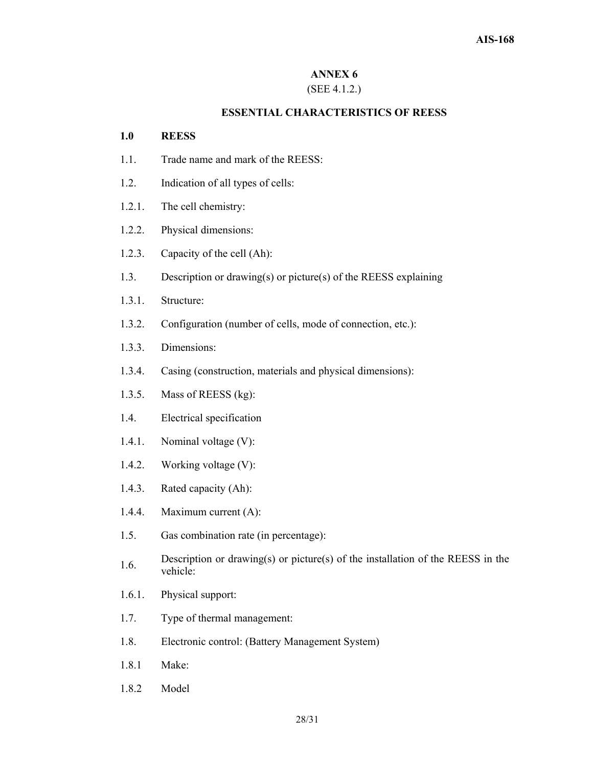## (SEE 4.1.2.)

#### **ESSENTIAL CHARACTERISTICS OF REESS**

#### **1.0 REESS**

- 1.1. Trade name and mark of the REESS:
- 1.2. Indication of all types of cells:
- 1.2.1. The cell chemistry:
- 1.2.2. Physical dimensions:
- 1.2.3. Capacity of the cell (Ah):
- 1.3. Description or drawing(s) or picture(s) of the REESS explaining
- 1.3.1. Structure:
- 1.3.2. Configuration (number of cells, mode of connection, etc.):
- 1.3.3. Dimensions:
- 1.3.4. Casing (construction, materials and physical dimensions):
- 1.3.5. Mass of REESS (kg):
- 1.4. Electrical specification
- 1.4.1. Nominal voltage (V):
- 1.4.2. Working voltage (V):
- 1.4.3. Rated capacity (Ah):
- 1.4.4. Maximum current (A):
- 1.5. Gas combination rate (in percentage):
- 1.6. Description or drawing(s) or picture(s) of the installation of the REESS in the vehicle:
- 1.6.1. Physical support:
- 1.7. Type of thermal management:
- 1.8. Electronic control: (Battery Management System)
- 1.8.1 Make:
- 1.8.2 Model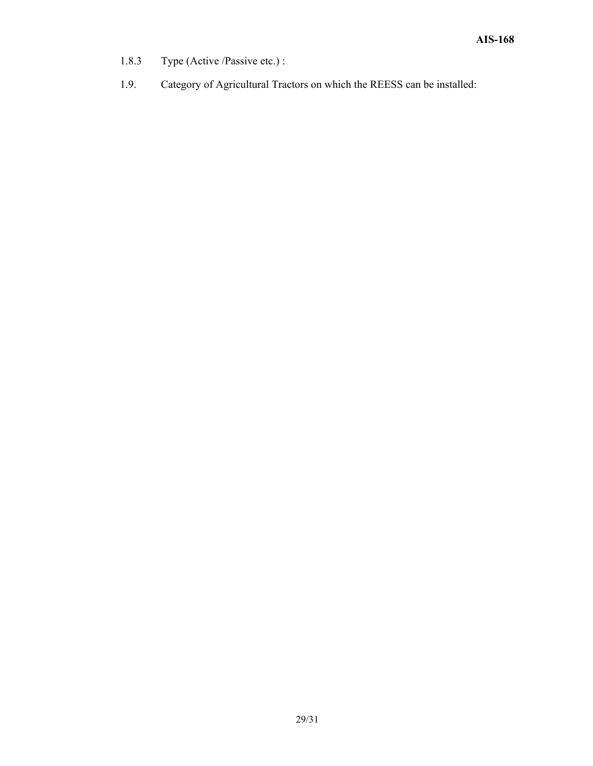- 1.8.3 Type (Active /Passive etc.) :
- 1.9. Category of Agricultural Tractors on which the REESS can be installed: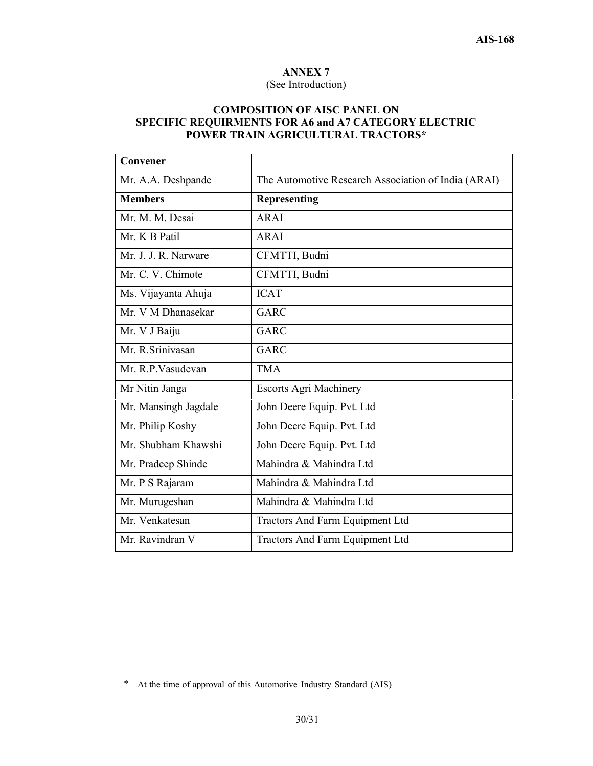#### (See Introduction)

## **COMPOSITION OF AISC PANEL ON SPECIFIC REQUIRMENTS FOR A6 and A7 CATEGORY ELECTRIC POWER TRAIN AGRICULTURAL TRACTORS\***

| Convener             |                                                     |
|----------------------|-----------------------------------------------------|
| Mr. A.A. Deshpande   | The Automotive Research Association of India (ARAI) |
| <b>Members</b>       | <b>Representing</b>                                 |
| Mr. M. M. Desai      | <b>ARAI</b>                                         |
| Mr. K B Patil        | <b>ARAI</b>                                         |
| Mr. J. J. R. Narware | CFMTTI, Budni                                       |
| Mr. C. V. Chimote    | CFMTTI, Budni                                       |
| Ms. Vijayanta Ahuja  | <b>ICAT</b>                                         |
| Mr. V M Dhanasekar   | <b>GARC</b>                                         |
| Mr. V J Baiju        | GARC                                                |
| Mr. R.Srinivasan     | GARC                                                |
| Mr. R.P. Vasudevan   | <b>TMA</b>                                          |
| Mr Nitin Janga       | <b>Escorts Agri Machinery</b>                       |
| Mr. Mansingh Jagdale | John Deere Equip. Pvt. Ltd                          |
| Mr. Philip Koshy     | John Deere Equip. Pvt. Ltd                          |
| Mr. Shubham Khawshi  | John Deere Equip. Pvt. Ltd                          |
| Mr. Pradeep Shinde   | Mahindra & Mahindra Ltd                             |
| Mr. P S Rajaram      | Mahindra & Mahindra Ltd                             |
| Mr. Murugeshan       | Mahindra & Mahindra Ltd                             |
| Mr. Venkatesan       | Tractors And Farm Equipment Ltd                     |
| Mr. Ravindran V      | Tractors And Farm Equipment Ltd                     |

<sup>\*</sup> At the time of approval of this Automotive Industry Standard (AIS)